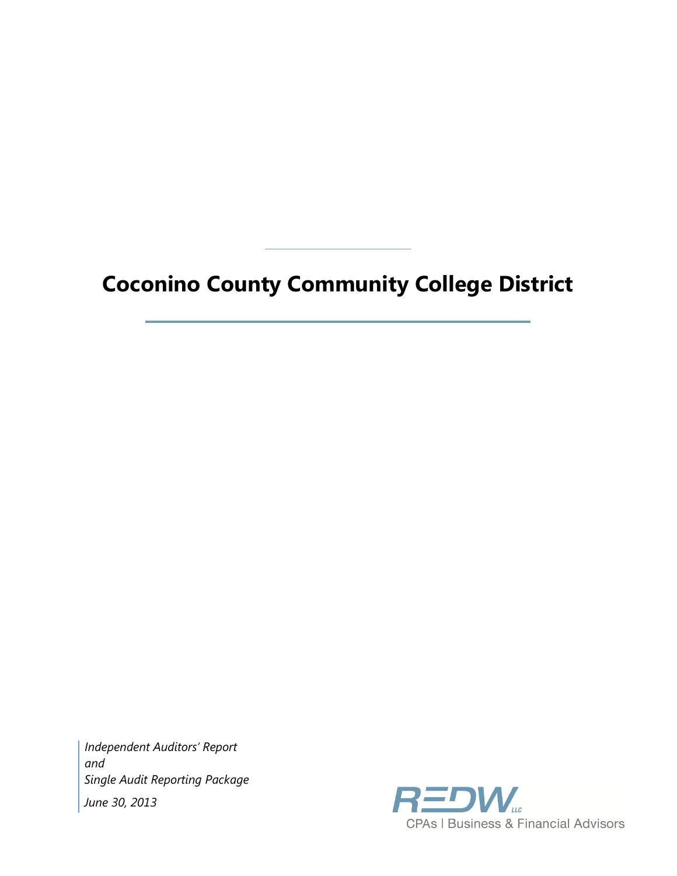**Coconino County Community College District**

*Independent Auditors' Report and Single Audit Reporting Package June 30, 2013*

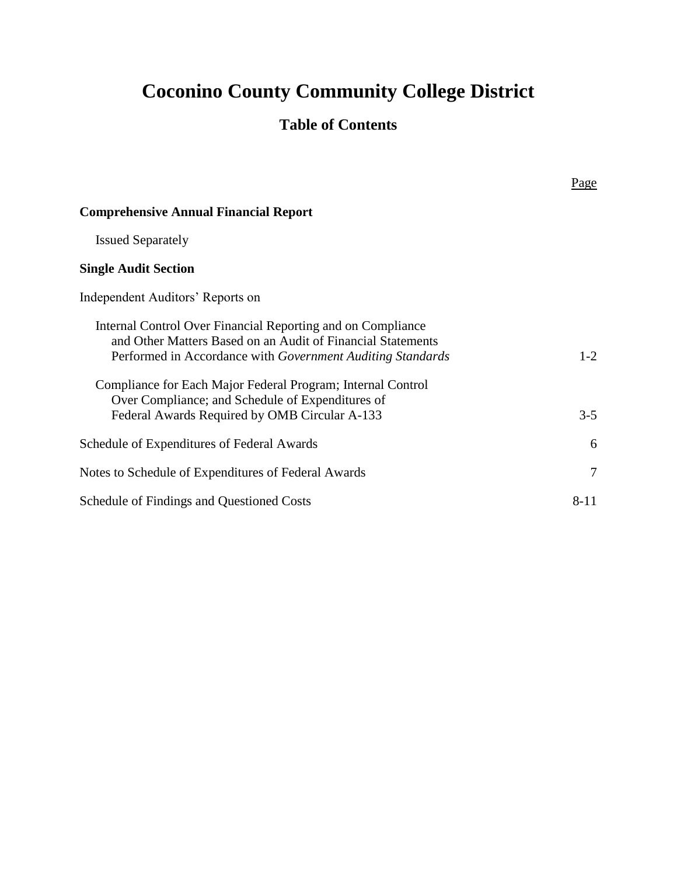# **Coconino County Community College District**

# **Table of Contents**

|                                                                                                                                                                                          | Page    |
|------------------------------------------------------------------------------------------------------------------------------------------------------------------------------------------|---------|
| <b>Comprehensive Annual Financial Report</b>                                                                                                                                             |         |
| <b>Issued Separately</b>                                                                                                                                                                 |         |
| <b>Single Audit Section</b>                                                                                                                                                              |         |
| Independent Auditors' Reports on                                                                                                                                                         |         |
| Internal Control Over Financial Reporting and on Compliance<br>and Other Matters Based on an Audit of Financial Statements<br>Performed in Accordance with Government Auditing Standards | $1 - 2$ |
| Compliance for Each Major Federal Program; Internal Control<br>Over Compliance; and Schedule of Expenditures of<br>Federal Awards Required by OMB Circular A-133                         | $3 - 5$ |
| Schedule of Expenditures of Federal Awards                                                                                                                                               | 6       |
| Notes to Schedule of Expenditures of Federal Awards                                                                                                                                      | 7       |
| Schedule of Findings and Questioned Costs                                                                                                                                                | 8-11    |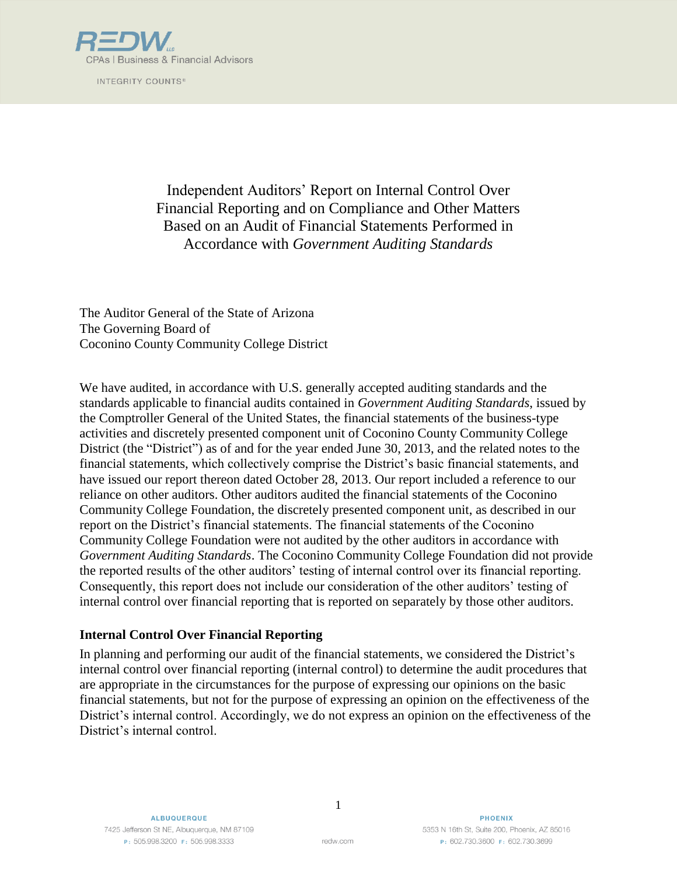

INTEGRITY COUNTS®

Independent Auditors' Report on Internal Control Over Financial Reporting and on Compliance and Other Matters Based on an Audit of Financial Statements Performed in Accordance with *Government Auditing Standards*

The Auditor General of the State of Arizona The Governing Board of Coconino County Community College District

We have audited, in accordance with U.S. generally accepted auditing standards and the standards applicable to financial audits contained in *Government Auditing Standards*, issued by the Comptroller General of the United States, the financial statements of the business-type activities and discretely presented component unit of Coconino County Community College District (the "District") as of and for the year ended June 30, 2013, and the related notes to the financial statements, which collectively comprise the District's basic financial statements, and have issued our report thereon dated October 28, 2013. Our report included a reference to our reliance on other auditors. Other auditors audited the financial statements of the Coconino Community College Foundation, the discretely presented component unit, as described in our report on the District's financial statements. The financial statements of the Coconino Community College Foundation were not audited by the other auditors in accordance with *Government Auditing Standards*. The Coconino Community College Foundation did not provide the reported results of the other auditors' testing of internal control over its financial reporting. Consequently, this report does not include our consideration of the other auditors' testing of internal control over financial reporting that is reported on separately by those other auditors.

#### **Internal Control Over Financial Reporting**

In planning and performing our audit of the financial statements, we considered the District's internal control over financial reporting (internal control) to determine the audit procedures that are appropriate in the circumstances for the purpose of expressing our opinions on the basic financial statements, but not for the purpose of expressing an opinion on the effectiveness of the District's internal control. Accordingly, we do not express an opinion on the effectiveness of the District's internal control.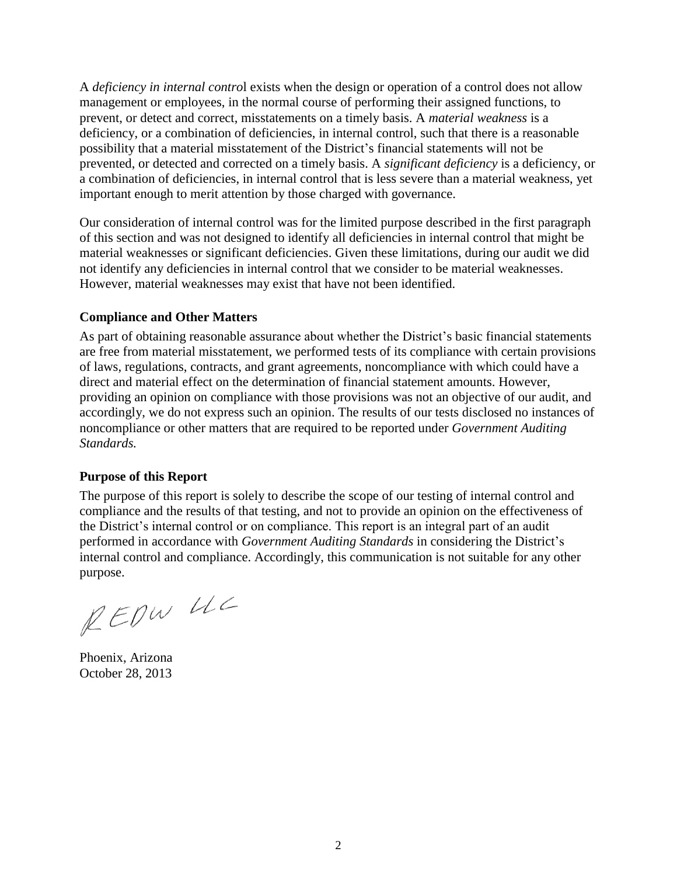A *deficiency in internal contro*l exists when the design or operation of a control does not allow management or employees, in the normal course of performing their assigned functions, to prevent, or detect and correct, misstatements on a timely basis. A *material weakness* is a deficiency, or a combination of deficiencies, in internal control, such that there is a reasonable possibility that a material misstatement of the District's financial statements will not be prevented, or detected and corrected on a timely basis. A *significant deficiency* is a deficiency, or a combination of deficiencies, in internal control that is less severe than a material weakness, yet important enough to merit attention by those charged with governance.

Our consideration of internal control was for the limited purpose described in the first paragraph of this section and was not designed to identify all deficiencies in internal control that might be material weaknesses or significant deficiencies. Given these limitations, during our audit we did not identify any deficiencies in internal control that we consider to be material weaknesses. However, material weaknesses may exist that have not been identified.

#### **Compliance and Other Matters**

As part of obtaining reasonable assurance about whether the District's basic financial statements are free from material misstatement, we performed tests of its compliance with certain provisions of laws, regulations, contracts, and grant agreements, noncompliance with which could have a direct and material effect on the determination of financial statement amounts. However, providing an opinion on compliance with those provisions was not an objective of our audit, and accordingly, we do not express such an opinion. The results of our tests disclosed no instances of noncompliance or other matters that are required to be reported under *Government Auditing Standards.*

#### **Purpose of this Report**

The purpose of this report is solely to describe the scope of our testing of internal control and compliance and the results of that testing, and not to provide an opinion on the effectiveness of the District's internal control or on compliance. This report is an integral part of an audit performed in accordance with *Government Auditing Standards* in considering the District's internal control and compliance. Accordingly, this communication is not suitable for any other purpose.

REDW UC

Phoenix, Arizona October 28, 2013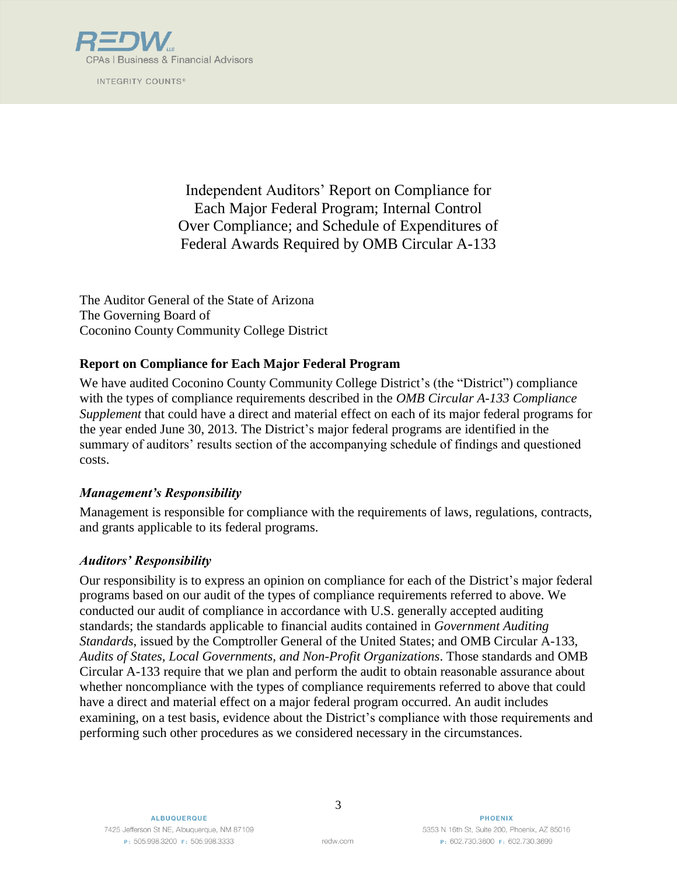

INTEGRITY COUNTS®

Independent Auditors' Report on Compliance for Each Major Federal Program; Internal Control Over Compliance; and Schedule of Expenditures of Federal Awards Required by OMB Circular A-133

The Auditor General of the State of Arizona The Governing Board of Coconino County Community College District

#### **Report on Compliance for Each Major Federal Program**

We have audited Coconino County Community College District's (the "District") compliance with the types of compliance requirements described in the *OMB Circular A-133 Compliance Supplement* that could have a direct and material effect on each of its major federal programs for the year ended June 30, 2013. The District's major federal programs are identified in the summary of auditors' results section of the accompanying schedule of findings and questioned costs.

#### *Management's Responsibility*

Management is responsible for compliance with the requirements of laws, regulations, contracts, and grants applicable to its federal programs.

#### *Auditors' Responsibility*

Our responsibility is to express an opinion on compliance for each of the District's major federal programs based on our audit of the types of compliance requirements referred to above. We conducted our audit of compliance in accordance with U.S. generally accepted auditing standards; the standards applicable to financial audits contained in *Government Auditing Standards*, issued by the Comptroller General of the United States; and OMB Circular A-133, *Audits of States, Local Governments, and Non-Profit Organizations*. Those standards and OMB Circular A-133 require that we plan and perform the audit to obtain reasonable assurance about whether noncompliance with the types of compliance requirements referred to above that could have a direct and material effect on a major federal program occurred. An audit includes examining, on a test basis, evidence about the District's compliance with those requirements and performing such other procedures as we considered necessary in the circumstances.

redw.com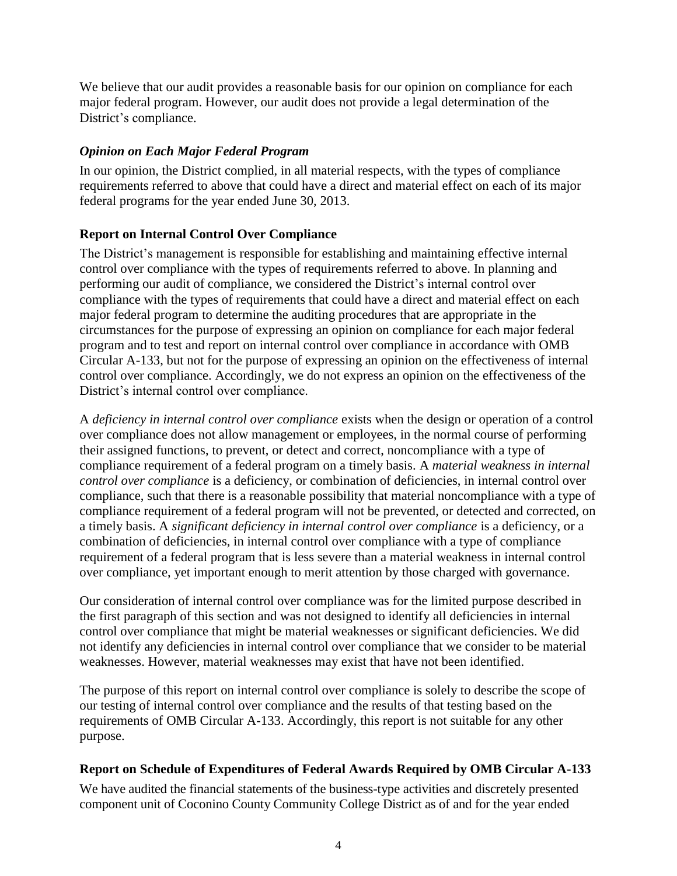We believe that our audit provides a reasonable basis for our opinion on compliance for each major federal program. However, our audit does not provide a legal determination of the District's compliance.

## *Opinion on Each Major Federal Program*

In our opinion, the District complied, in all material respects, with the types of compliance requirements referred to above that could have a direct and material effect on each of its major federal programs for the year ended June 30, 2013.

# **Report on Internal Control Over Compliance**

The District's management is responsible for establishing and maintaining effective internal control over compliance with the types of requirements referred to above. In planning and performing our audit of compliance, we considered the District's internal control over compliance with the types of requirements that could have a direct and material effect on each major federal program to determine the auditing procedures that are appropriate in the circumstances for the purpose of expressing an opinion on compliance for each major federal program and to test and report on internal control over compliance in accordance with OMB Circular A-133, but not for the purpose of expressing an opinion on the effectiveness of internal control over compliance. Accordingly, we do not express an opinion on the effectiveness of the District's internal control over compliance.

A *deficiency in internal control over compliance* exists when the design or operation of a control over compliance does not allow management or employees, in the normal course of performing their assigned functions, to prevent, or detect and correct, noncompliance with a type of compliance requirement of a federal program on a timely basis. A *material weakness in internal control over compliance* is a deficiency, or combination of deficiencies, in internal control over compliance, such that there is a reasonable possibility that material noncompliance with a type of compliance requirement of a federal program will not be prevented, or detected and corrected, on a timely basis. A *significant deficiency in internal control over compliance* is a deficiency, or a combination of deficiencies, in internal control over compliance with a type of compliance requirement of a federal program that is less severe than a material weakness in internal control over compliance, yet important enough to merit attention by those charged with governance.

Our consideration of internal control over compliance was for the limited purpose described in the first paragraph of this section and was not designed to identify all deficiencies in internal control over compliance that might be material weaknesses or significant deficiencies. We did not identify any deficiencies in internal control over compliance that we consider to be material weaknesses. However, material weaknesses may exist that have not been identified.

The purpose of this report on internal control over compliance is solely to describe the scope of our testing of internal control over compliance and the results of that testing based on the requirements of OMB Circular A-133. Accordingly, this report is not suitable for any other purpose.

## **Report on Schedule of Expenditures of Federal Awards Required by OMB Circular A-133**

We have audited the financial statements of the business-type activities and discretely presented component unit of Coconino County Community College District as of and for the year ended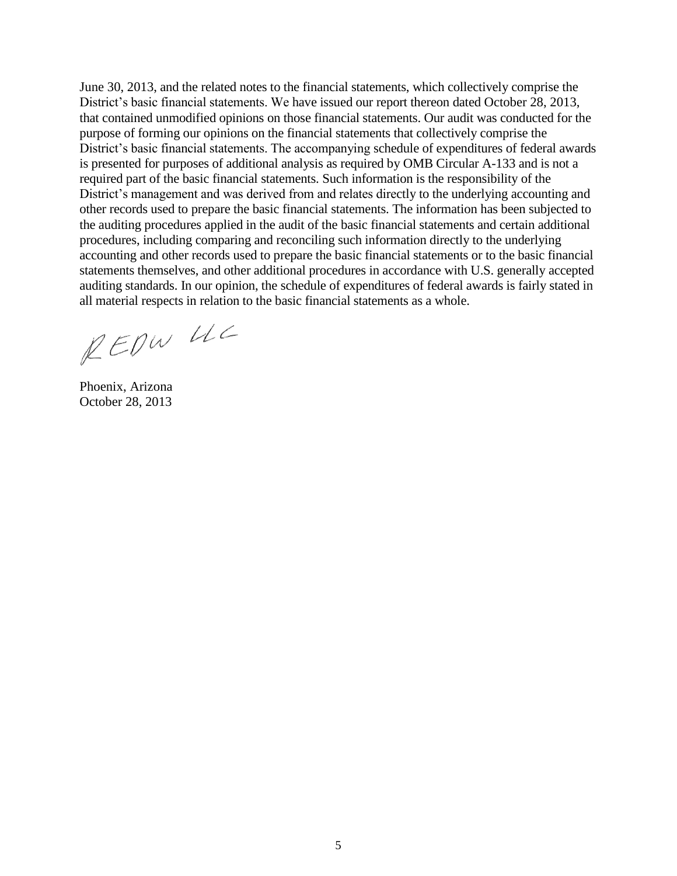June 30, 2013, and the related notes to the financial statements, which collectively comprise the District's basic financial statements. We have issued our report thereon dated October 28, 2013, that contained unmodified opinions on those financial statements. Our audit was conducted for the purpose of forming our opinions on the financial statements that collectively comprise the District's basic financial statements. The accompanying schedule of expenditures of federal awards is presented for purposes of additional analysis as required by OMB Circular A-133 and is not a required part of the basic financial statements. Such information is the responsibility of the District's management and was derived from and relates directly to the underlying accounting and other records used to prepare the basic financial statements. The information has been subjected to the auditing procedures applied in the audit of the basic financial statements and certain additional procedures, including comparing and reconciling such information directly to the underlying accounting and other records used to prepare the basic financial statements or to the basic financial statements themselves, and other additional procedures in accordance with U.S. generally accepted auditing standards. In our opinion, the schedule of expenditures of federal awards is fairly stated in all material respects in relation to the basic financial statements as a whole.

REDW UC

Phoenix, Arizona October 28, 2013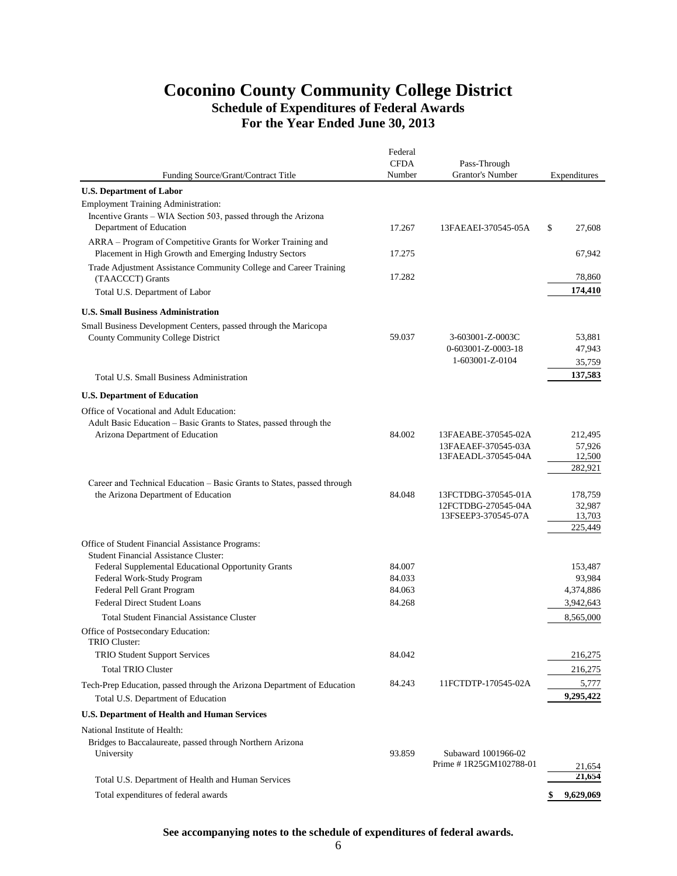# **Coconino County Community College District Schedule of Expenditures of Federal Awards For the Year Ended June 30, 2013**

| Funding Source/Grant/Contract Title                                                                                                     | Federal<br><b>CFDA</b><br>Number | Pass-Through<br><b>Grantor's Number</b>                           | Expenditures                           |
|-----------------------------------------------------------------------------------------------------------------------------------------|----------------------------------|-------------------------------------------------------------------|----------------------------------------|
| <b>U.S. Department of Labor</b>                                                                                                         |                                  |                                                                   |                                        |
| <b>Employment Training Administration:</b><br>Incentive Grants - WIA Section 503, passed through the Arizona<br>Department of Education | 17.267                           | 13FAEAEI-370545-05A                                               | \$<br>27,608                           |
| ARRA - Program of Competitive Grants for Worker Training and<br>Placement in High Growth and Emerging Industry Sectors                  | 17.275                           |                                                                   | 67,942                                 |
| Trade Adjustment Assistance Community College and Career Training<br>(TAACCCT) Grants                                                   | 17.282                           |                                                                   | 78,860                                 |
| Total U.S. Department of Labor                                                                                                          |                                  |                                                                   | 174,410                                |
| <b>U.S. Small Business Administration</b>                                                                                               |                                  |                                                                   |                                        |
| Small Business Development Centers, passed through the Maricopa<br>County Community College District                                    | 59.037                           | 3-603001-Z-0003C<br>0-603001-Z-0003-18<br>1-603001-Z-0104         | 53,881<br>47,943<br>35,759             |
| Total U.S. Small Business Administration                                                                                                |                                  |                                                                   | 137,583                                |
| <b>U.S. Department of Education</b>                                                                                                     |                                  |                                                                   |                                        |
| Office of Vocational and Adult Education:<br>Adult Basic Education - Basic Grants to States, passed through the                         |                                  |                                                                   |                                        |
| Arizona Department of Education                                                                                                         | 84.002                           | 13FAEABE-370545-02A<br>13FAEAEF-370545-03A<br>13FAEADL-370545-04A | 212,495<br>57,926<br>12,500<br>282,921 |
| Career and Technical Education – Basic Grants to States, passed through<br>the Arizona Department of Education                          | 84.048                           | 13FCTDBG-370545-01A<br>12FCTDBG-270545-04A<br>13FSEEP3-370545-07A | 178,759<br>32,987<br>13,703<br>225,449 |
| Office of Student Financial Assistance Programs:<br><b>Student Financial Assistance Cluster:</b>                                        |                                  |                                                                   |                                        |
| Federal Supplemental Educational Opportunity Grants                                                                                     | 84.007                           |                                                                   | 153,487                                |
| Federal Work-Study Program                                                                                                              | 84.033                           |                                                                   | 93,984                                 |
| Federal Pell Grant Program                                                                                                              | 84.063                           |                                                                   | 4,374,886                              |
| <b>Federal Direct Student Loans</b>                                                                                                     | 84.268                           |                                                                   | 3,942,643                              |
| <b>Total Student Financial Assistance Cluster</b>                                                                                       |                                  |                                                                   | 8,565,000                              |
| Office of Postsecondary Education:<br>TRIO Cluster:                                                                                     |                                  |                                                                   |                                        |
| <b>TRIO Student Support Services</b>                                                                                                    | 84.042                           |                                                                   | 216,275                                |
| <b>Total TRIO Cluster</b>                                                                                                               |                                  |                                                                   | 216,275                                |
| Tech-Prep Education, passed through the Arizona Department of Education<br>Total U.S. Department of Education                           | 84.243                           | 11FCTDTP-170545-02A                                               | 5,777<br>9,295,422                     |
| U.S. Department of Health and Human Services                                                                                            |                                  |                                                                   |                                        |
| National Institute of Health:                                                                                                           |                                  |                                                                   |                                        |
| Bridges to Baccalaureate, passed through Northern Arizona<br>University                                                                 | 93.859                           | Subaward 1001966-02<br>Prime #1R25GM102788-01                     | 21,654                                 |
| Total U.S. Department of Health and Human Services                                                                                      |                                  |                                                                   | 21,654                                 |
| Total expenditures of federal awards                                                                                                    |                                  |                                                                   | 9,629,069                              |

**See accompanying notes to the schedule of expenditures of federal awards.**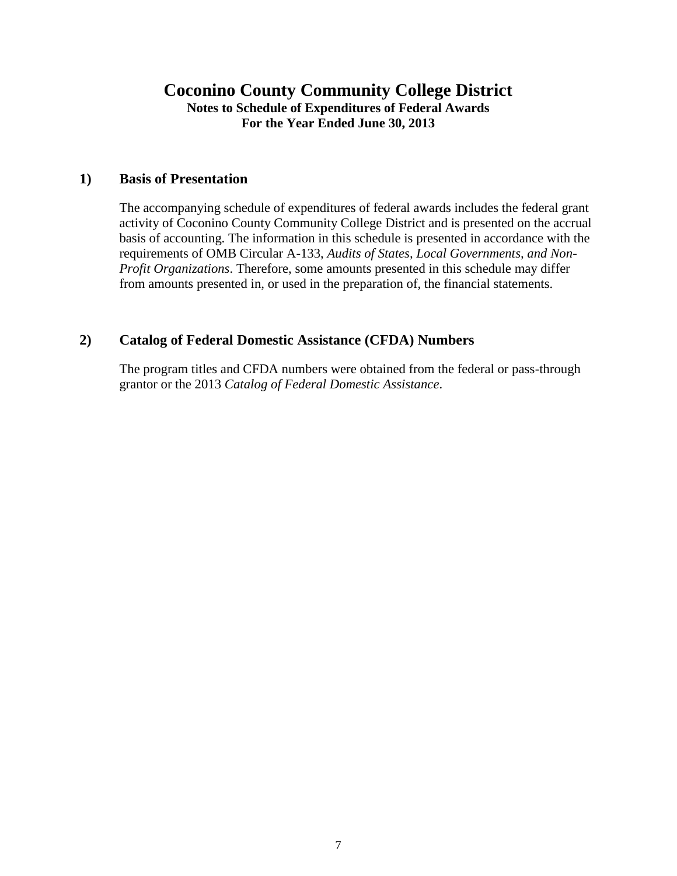# **Coconino County Community College District Notes to Schedule of Expenditures of Federal Awards For the Year Ended June 30, 2013**

#### **1) Basis of Presentation**

The accompanying schedule of expenditures of federal awards includes the federal grant activity of Coconino County Community College District and is presented on the accrual basis of accounting. The information in this schedule is presented in accordance with the requirements of OMB Circular A-133, *Audits of States, Local Governments, and Non-Profit Organizations*. Therefore, some amounts presented in this schedule may differ from amounts presented in, or used in the preparation of, the financial statements.

#### **2) Catalog of Federal Domestic Assistance (CFDA) Numbers**

The program titles and CFDA numbers were obtained from the federal or pass-through grantor or the 2013 *Catalog of Federal Domestic Assistance*.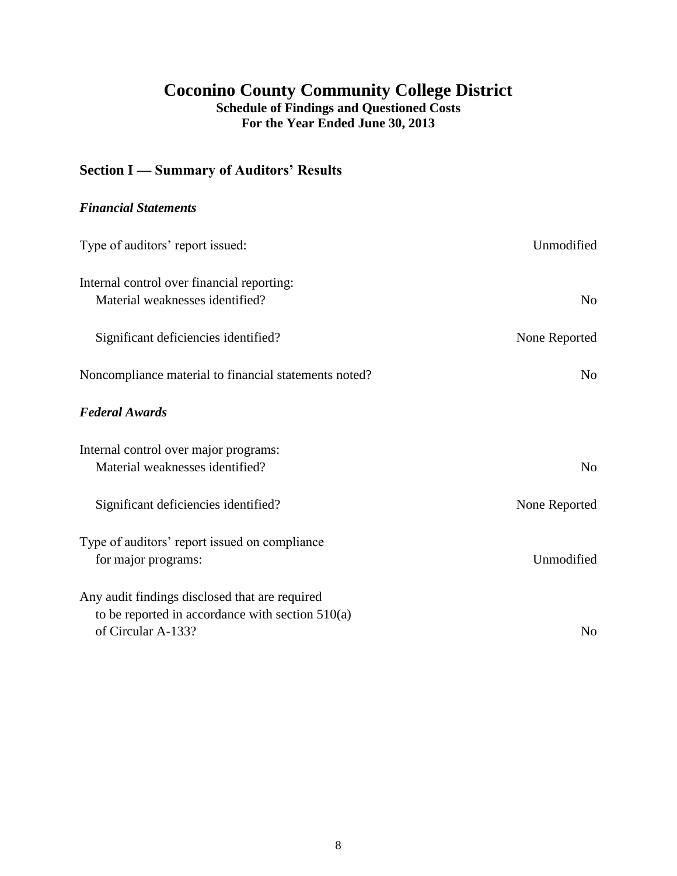# **Section I — Summary of Auditors' Results**

## *Financial Statements*

| Type of auditors' report issued:                                                                                           | Unmodified     |
|----------------------------------------------------------------------------------------------------------------------------|----------------|
| Internal control over financial reporting:<br>Material weaknesses identified?                                              | N <sub>0</sub> |
| Significant deficiencies identified?                                                                                       | None Reported  |
| Noncompliance material to financial statements noted?                                                                      | N <sub>o</sub> |
| <b>Federal Awards</b>                                                                                                      |                |
| Internal control over major programs:<br>Material weaknesses identified?                                                   | N <sub>0</sub> |
| Significant deficiencies identified?                                                                                       | None Reported  |
| Type of auditors' report issued on compliance<br>for major programs:                                                       | Unmodified     |
| Any audit findings disclosed that are required<br>to be reported in accordance with section $510(a)$<br>of Circular A-133? | N <sub>0</sub> |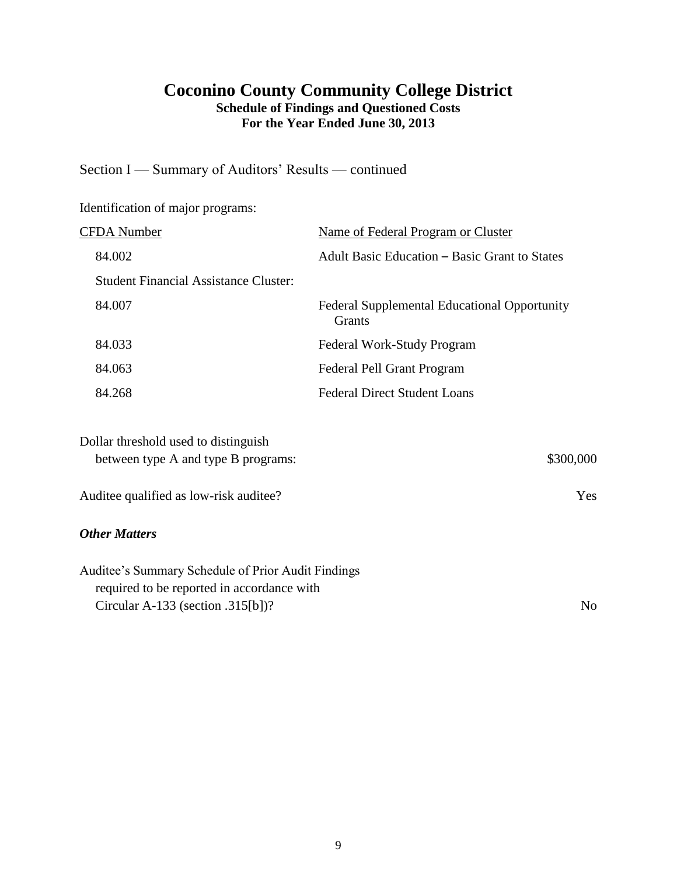# Section I — Summary of Auditors' Results — continued

### Identification of major programs:

| <b>CFDA Number</b>                                                          | Name of Federal Program or Cluster                                   |
|-----------------------------------------------------------------------------|----------------------------------------------------------------------|
| 84.002                                                                      | Adult Basic Education – Basic Grant to States                        |
| Student Financial Assistance Cluster:                                       |                                                                      |
| 84.007                                                                      | <b>Federal Supplemental Educational Opportunity</b><br><b>Grants</b> |
| 84.033                                                                      | Federal Work-Study Program                                           |
| 84.063                                                                      | Federal Pell Grant Program                                           |
| 84.268                                                                      | <b>Federal Direct Student Loans</b>                                  |
| Dollar threshold used to distinguish<br>between type A and type B programs: | \$300,000                                                            |

#### *Other Matters*

| Auditee's Summary Schedule of Prior Audit Findings |    |
|----------------------------------------------------|----|
| required to be reported in accordance with         |    |
| Circular A-133 (section $.315[b]$ )?               | No |

Auditee qualified as low-risk auditee? Yes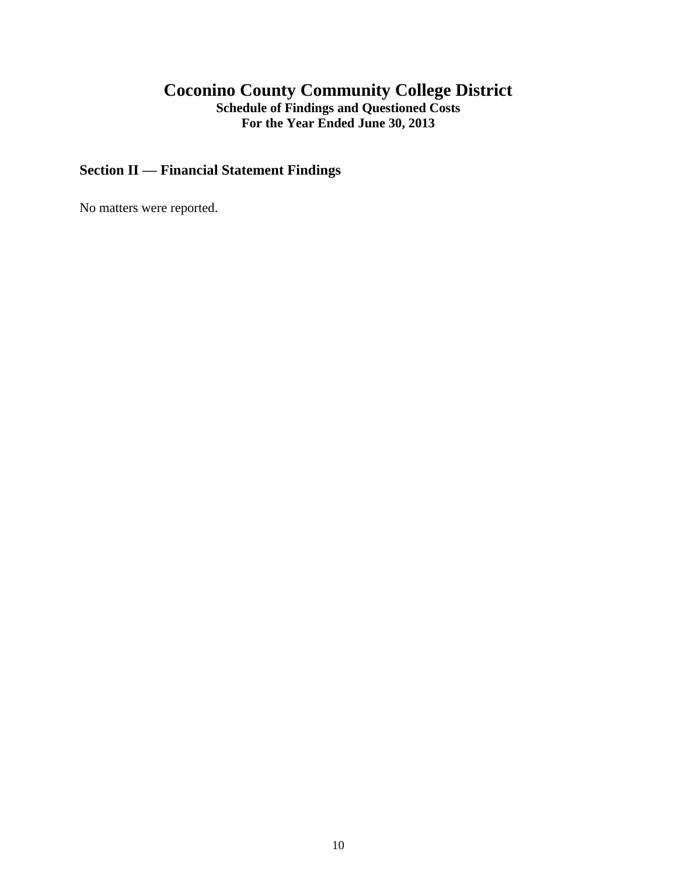# **Section II — Financial Statement Findings**

No matters were reported.